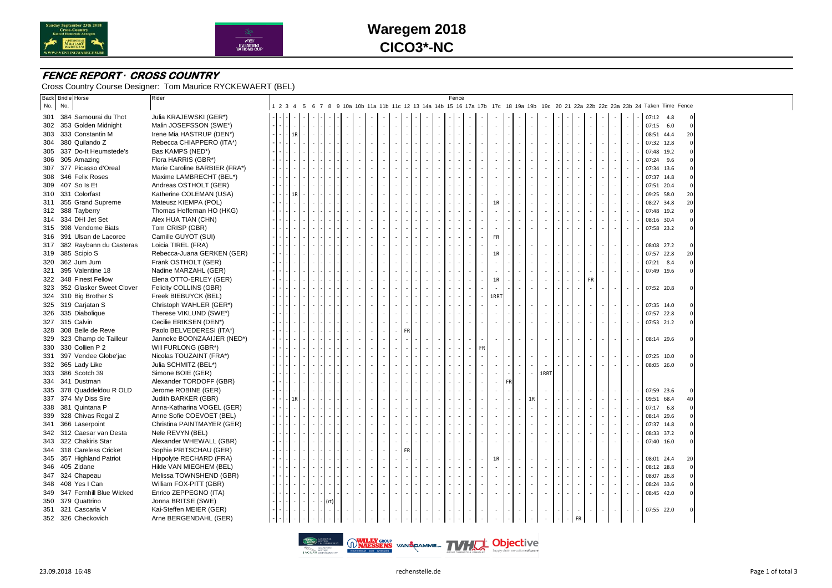



# **Waregem 2018 CICO3\*-NC**

### **FENCE REPORT** *·* **CROSS COUNTRY**

Cross Country Course Designer: Tom Maurice RYCKEWAERT (BEL)

|     | <b>Back Bridle Horse</b>     | Rider                         |               |  |      |  |  |    |           |   |  | Fence |           |              |           |        |                          |           |    |        |                          |          |                                                                                                                                    |                |
|-----|------------------------------|-------------------------------|---------------|--|------|--|--|----|-----------|---|--|-------|-----------|--------------|-----------|--------|--------------------------|-----------|----|--------|--------------------------|----------|------------------------------------------------------------------------------------------------------------------------------------|----------------|
| No. | No.                          |                               |               |  |      |  |  |    |           |   |  |       |           |              |           |        |                          |           |    |        |                          |          | 1 2 3 4 5 6 7 8 9 10a 10b 11a 11b 11c 12 13 14a 14b 15 16 17a 17b 17c 18 19a 19b 19c 20 21 22a 22b 22c 23a 23b 24 Taken Time Fence |                |
|     | 301 384 Samourai du Thot     | Julia KRAJEWSKI (GER*)        |               |  |      |  |  |    |           |   |  |       |           |              |           |        |                          |           |    |        |                          |          | $07:12$ 4.8                                                                                                                        | $\mathbf{0}$   |
|     | 302 353 Golden Midnight      | Malin JOSEFSSON (SWE*)        |               |  |      |  |  |    |           |   |  |       |           |              |           |        |                          |           |    |        |                          | $\sim$   | $07:15$ 6.0                                                                                                                        | $\mathbf 0$    |
|     | 303 333 Constantin M         | Irene Mia HASTRUP (DEN*)      | $1\mathrm{R}$ |  |      |  |  |    |           |   |  |       |           |              |           |        |                          |           |    |        |                          | $\sim$   | 08:51 44.4                                                                                                                         | 20             |
|     | 304 380 Quilando Z           | Rebecca CHIAPPERO (ITA*)      |               |  |      |  |  |    |           |   |  |       |           |              |           |        |                          |           |    |        |                          | $\sim$   | 07:32 12.8                                                                                                                         | $\Omega$       |
|     | 305 337 Do-It Heumstede's    | Bas KAMPS (NED*)              |               |  |      |  |  |    |           |   |  |       |           |              |           |        |                          |           |    |        |                          |          | 07:48 19.2                                                                                                                         |                |
|     | 306 305 Amazing              | Flora HARRIS (GBR*)           |               |  |      |  |  |    |           |   |  |       |           |              |           |        |                          |           |    |        |                          | $\sim$   | 07:24 9.6                                                                                                                          |                |
|     | 307 377 Picasso d'Oreal      | Marie Caroline BARBIER (FRA*) |               |  |      |  |  |    |           |   |  |       |           |              |           |        |                          |           |    |        |                          |          | 07:34 13.6                                                                                                                         |                |
|     | 308 346 Felix Roses          | Maxime LAMBRECHT (BEL*)       |               |  |      |  |  |    |           |   |  |       |           |              |           |        |                          |           |    |        |                          | $\sim$   | 07:37 14.8                                                                                                                         |                |
|     | 309 407 So Is Et             | Andreas OSTHOLT (GER)         |               |  |      |  |  |    |           |   |  |       |           |              |           |        |                          |           |    |        |                          |          | 07:51 20.4                                                                                                                         |                |
|     | 310 331 Colorfast            | Katherine COLEMAN (USA)       | 1R            |  |      |  |  |    |           |   |  |       |           |              |           |        |                          |           |    | $\sim$ |                          | $\sim$   | 09:25 58.0                                                                                                                         | 20             |
|     | 311 355 Grand Supreme        | Mateusz KIEMPA (POL)          |               |  |      |  |  |    |           |   |  |       |           | 1R           |           |        |                          |           |    | $\sim$ | ×,                       | $\sim$   | 08:27 34.8                                                                                                                         | 20             |
|     | 312 388 Tayberry             | Thomas Heffernan HO (HKG)     |               |  |      |  |  |    |           |   |  |       |           | $\sim$       |           |        |                          |           |    | $\sim$ | ×,                       | $\sim$   | 07:48 19.2                                                                                                                         | $\overline{0}$ |
|     | 314 334 DHI Jet Set          | Alex HUA TIAN (CHN)           |               |  |      |  |  |    |           |   |  |       |           |              |           |        |                          |           |    | $\sim$ | ×,                       | $\sim$   | 08:16 30.4                                                                                                                         |                |
|     | 315 398 Vendome Biats        | Tom CRISP (GBR)               |               |  |      |  |  |    |           |   |  |       |           |              |           |        |                          |           |    |        |                          |          | 07:58 23.2                                                                                                                         |                |
|     | 316 391 Ulsan de Lacoree     | Camille GUYOT (SUI)           |               |  |      |  |  |    |           |   |  |       |           | <b>FR</b>    |           |        |                          |           |    |        |                          |          |                                                                                                                                    |                |
|     |                              |                               |               |  |      |  |  |    |           |   |  |       |           | $\sim$       |           |        |                          |           |    |        |                          |          |                                                                                                                                    |                |
|     | 317 382 Raybann du Casteras  | Loicia TIREL (FRA)            |               |  |      |  |  |    |           |   |  |       |           |              |           |        |                          |           |    |        |                          | $\sim$   | 08:08 27.2                                                                                                                         |                |
|     | 319 385 Scipio S             | Rebecca-Juana GERKEN (GER)    |               |  |      |  |  |    |           |   |  |       |           | 1R           |           |        |                          |           |    | $\sim$ | ÷,                       | $\sim$   | 07:57 22.8                                                                                                                         | 20             |
|     | 320 362 Jum Jum              | Frank OSTHOLT (GER)           |               |  |      |  |  |    |           |   |  |       |           | ÷.           |           |        | ×,                       |           |    | $\sim$ | ÷.                       | $\sim$   | 07:21 8.4                                                                                                                          | $\Omega$       |
|     | 321 395 Valentine 18         | Nadine MARZAHL (GER)          |               |  |      |  |  |    |           |   |  |       |           |              |           |        |                          |           |    |        | $\sim$                   | $\sim$   | 07:49 19.6                                                                                                                         |                |
|     | 322 348 Finest Fellow        | Elena OTTO-ERLEY (GER)        |               |  |      |  |  |    |           |   |  |       |           | 1R           |           | $\sim$ | ٠                        |           | FR |        |                          |          |                                                                                                                                    |                |
|     | 323 352 Glasker Sweet Clover | Felicity COLLINS (GBR)        |               |  |      |  |  |    |           |   |  |       |           |              |           | ×      | ÷                        |           |    | $\sim$ | $\sim$                   | $\sim$   | 07:52 20.8                                                                                                                         |                |
|     | 324 310 Big Brother S        | Freek BIEBUYCK (BEL)          |               |  |      |  |  |    |           |   |  |       |           | 1RRT         |           |        |                          |           |    |        |                          |          |                                                                                                                                    |                |
|     | 325 319 Carjatan S           | Christoph WAHLER (GER*)       |               |  |      |  |  |    |           |   |  |       |           |              |           |        |                          |           |    |        |                          | $\sim$   | 07:35 14.0                                                                                                                         |                |
|     | 326 335 Diabolique           | Therese VIKLUND (SWE*)        |               |  |      |  |  |    |           |   |  |       |           |              |           |        |                          |           |    |        |                          | $\sim$   | 07:57 22.8                                                                                                                         |                |
|     | 327 315 Calvin               | Cecilie ERIKSEN (DEN*)        |               |  |      |  |  |    |           |   |  |       |           |              |           |        |                          |           |    |        | ×                        | ÷.       | 07:53 21.2                                                                                                                         |                |
|     | 328 308 Belle de Reve        | Paolo BELVEDERESI (ITA*)      |               |  |      |  |  |    | <b>FR</b> |   |  |       |           |              |           |        |                          |           |    |        |                          |          |                                                                                                                                    |                |
|     | 329 323 Champ de Tailleur    | Janneke BOONZAAIJER (NED*)    |               |  |      |  |  |    |           |   |  |       |           |              |           |        |                          |           |    |        |                          | $\sim$   | 08:14 29.6                                                                                                                         |                |
|     | 330 330 Collien P 2          | Will FURLONG (GBR*)           |               |  |      |  |  |    |           |   |  |       | <b>FR</b> |              |           |        |                          |           |    |        |                          |          |                                                                                                                                    |                |
|     | 331 397 Vendee Globe'jac     | Nicolas TOUZAINT (FRA*)       |               |  |      |  |  |    |           |   |  |       |           |              |           |        | $\overline{\phantom{a}}$ |           |    |        |                          | $\sim$   | 07:25 10.0                                                                                                                         |                |
|     | 332 365 Lady Like            | Julia SCHMITZ (BEL*)          |               |  |      |  |  |    |           |   |  |       |           |              |           |        |                          |           |    |        |                          |          | 08:05 26.0                                                                                                                         |                |
|     | 333 386 Scotch 39            | Simone BOIE (GER)             |               |  |      |  |  |    |           |   |  |       |           |              |           | $\sim$ | 1RR <sub>1</sub>         |           |    |        |                          |          |                                                                                                                                    |                |
|     | 334 341 Dustman              | Alexander TORDOFF (GBR)       |               |  |      |  |  |    |           |   |  |       |           | $\sim$       | <b>FR</b> |        |                          |           |    |        |                          |          |                                                                                                                                    |                |
|     | 335 378 Quaddeldou R OLD     | Jerome ROBINE (GER)           |               |  |      |  |  |    |           |   |  |       |           |              |           |        |                          |           |    |        |                          | $\sim$   | 07:59 23.6                                                                                                                         |                |
|     | 337 374 My Diss Sire         | Judith BARKER (GBR)           | 1R            |  |      |  |  |    |           |   |  |       |           |              |           | 1R     |                          |           |    |        |                          |          | 09:51 68.4                                                                                                                         | 40             |
|     | 338 381 Quintana P           | Anna-Katharina VOGEL (GER)    |               |  |      |  |  |    |           |   |  |       |           |              |           |        |                          |           |    |        | $\overline{\phantom{a}}$ | $\sim$   | 07:17 6.8                                                                                                                          |                |
|     | 339 328 Chivas Regal Z       | Anne Sofie COEVOET (BEL)      |               |  |      |  |  |    |           |   |  |       |           |              |           |        |                          |           |    |        |                          |          | 08:14 29.6                                                                                                                         |                |
|     | 341 366 Laserpoint           | Christina PAINTMAYER (GER)    |               |  |      |  |  |    |           |   |  |       |           | ×            |           |        |                          |           |    |        |                          | $\sim$   | 07:37 14.8                                                                                                                         |                |
|     | 342 312 Caesar van Desta     | Nele REVYN (BEL)              |               |  |      |  |  |    |           |   |  |       |           |              |           |        |                          |           |    |        |                          |          | 08:33 37.2                                                                                                                         |                |
|     | 343 322 Chakiris Star        | Alexander WHEWALL (GBR)       |               |  |      |  |  |    |           |   |  |       |           | ×            |           |        | ×.                       |           |    |        | ÷,                       | $\sim$   | 07:40 16.0                                                                                                                         |                |
| 344 | 318 Careless Cricket         | Sophie PRITSCHAU (GER)        |               |  |      |  |  |    | <b>FR</b> |   |  |       |           |              |           |        |                          |           |    |        |                          |          |                                                                                                                                    |                |
|     | 345 357 Highland Patriot     | Hippolyte RECHARD (FRA)       |               |  |      |  |  | ä, |           |   |  |       |           | 1R           |           |        |                          |           |    |        |                          | $\sim$   | 08:01 24.4                                                                                                                         | 20             |
|     | 346 405 Zidane               | Hilde VAN MIEGHEM (BEL)       |               |  |      |  |  |    |           |   |  |       |           |              |           |        |                          |           |    |        |                          | $\sim$   | 08:12 28.8                                                                                                                         | $\mathbf 0$    |
|     | 347 324 Chapeau              | Melissa TOWNSHEND (GBR)       |               |  |      |  |  |    |           |   |  |       |           | $\mathbf{r}$ |           |        | $\sim$                   |           |    | $\sim$ | ×,                       | $\omega$ | 08:07 26.8                                                                                                                         |                |
|     | 348 408 Yes I Can            | William FOX-PITT (GBR)        |               |  |      |  |  |    |           |   |  |       |           |              |           |        |                          |           |    |        |                          |          | 08:24 33.6                                                                                                                         |                |
|     | 349 347 Fernhill Blue Wicked | Enrico ZEPPEGNO (ITA)         |               |  |      |  |  | ÷. |           | ٠ |  |       |           |              |           |        |                          |           |    |        |                          | $\sim$   | 08:45 42.0                                                                                                                         |                |
|     | 350 379 Quattrino            | Jonna BRITSE (SWE)            |               |  | (rt) |  |  |    |           |   |  |       |           |              |           |        |                          |           |    |        |                          |          |                                                                                                                                    |                |
|     | 351 321 Cascaria V           | Kai-Steffen MEIER (GER)       |               |  |      |  |  |    |           |   |  |       |           |              |           |        |                          |           |    |        |                          |          | 07:55 22.0                                                                                                                         |                |
|     | 352 326 Checkovich           | Arne BERGENDAHL (GER)         |               |  |      |  |  |    |           |   |  |       |           |              |           |        |                          | <b>FR</b> |    |        |                          |          |                                                                                                                                    |                |
|     |                              |                               |               |  |      |  |  |    |           |   |  |       |           |              |           |        |                          |           |    |        |                          |          |                                                                                                                                    |                |

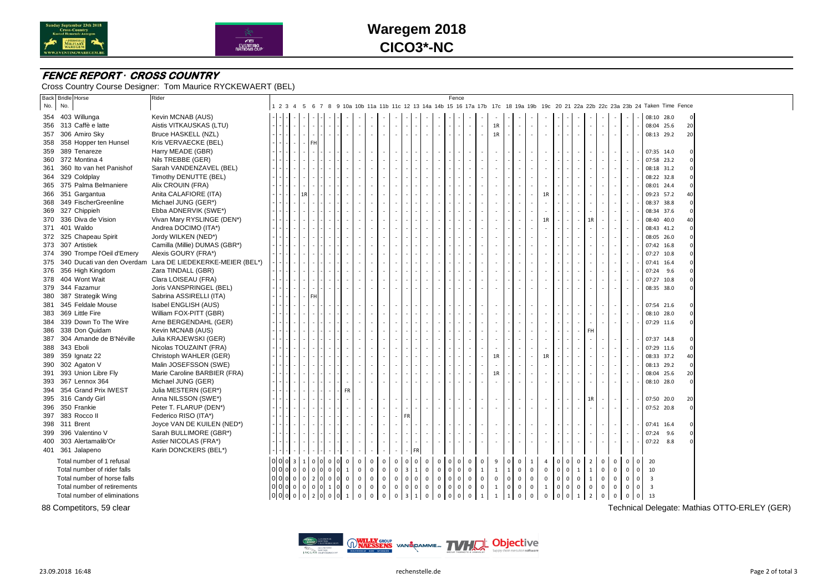



# **Waregem 2018 CICO3\*-NC**

### **FENCE REPORT** *·* **CROSS COUNTRY**

Cross Country Course Designer: Tom Maurice RYCKEWAERT (BEL)

|     | <b>Back Bridle Horse</b>       | Rider                           |                 |                               |             |                |                     |                                       |             |             |                         |                                       |             |                     | Fence         |                |              |                  |                                     |                     |                |                          |              |                                    |                          |                |                          |                     |                         |                                                                                                                                    |    |  |
|-----|--------------------------------|---------------------------------|-----------------|-------------------------------|-------------|----------------|---------------------|---------------------------------------|-------------|-------------|-------------------------|---------------------------------------|-------------|---------------------|---------------|----------------|--------------|------------------|-------------------------------------|---------------------|----------------|--------------------------|--------------|------------------------------------|--------------------------|----------------|--------------------------|---------------------|-------------------------|------------------------------------------------------------------------------------------------------------------------------------|----|--|
| No. | No.                            |                                 |                 |                               |             |                |                     |                                       |             |             |                         |                                       |             |                     |               |                |              |                  |                                     |                     |                |                          |              |                                    |                          |                |                          |                     |                         | 1 2 3 4 5 6 7 8 9 10a 10b 11a 11b 11c 12 13 14a 14b 15 16 17a 17b 17c 18 19a 19b 19c 20 21 22a 22b 22c 23a 23b 24 Taken Time Fence |    |  |
|     | 354 403 Willunga               | Kevin MCNAB (AUS)               |                 |                               |             |                |                     |                                       |             |             |                         |                                       |             |                     |               |                |              |                  |                                     |                     |                |                          |              |                                    |                          |                |                          |                     | 08:10 28.0              |                                                                                                                                    |    |  |
|     | 356 313 Caffè e latte          | Aistis VITKAUSKAS (LTU)         |                 |                               |             |                |                     |                                       |             |             |                         |                                       |             |                     |               |                |              | 1R               |                                     |                     | ×              |                          |              | $\sim$<br>×                        | $\sim$                   | $\sim$         | $\sim$                   |                     | 08:04 25.6              |                                                                                                                                    | 20 |  |
|     | 357 306 Amiro Sky              | Bruce HASKELL (NZL)             |                 |                               |             |                |                     |                                       |             |             |                         |                                       |             |                     |               |                |              | 1R               |                                     |                     |                |                          |              |                                    |                          |                |                          |                     | 08:13 29.2              |                                                                                                                                    | 20 |  |
|     | 358 358 Hopper ten Hunsel      | Kris VERVAECKE (BEL)            |                 | FH.                           |             |                |                     |                                       |             |             |                         |                                       |             |                     |               |                |              |                  |                                     |                     |                |                          |              |                                    |                          |                |                          |                     |                         |                                                                                                                                    |    |  |
|     | 359 389 Tenareze               | Harry MEADE (GBR)               |                 |                               |             |                |                     |                                       |             |             |                         |                                       |             |                     |               |                |              |                  |                                     |                     |                |                          |              |                                    | $\overline{\phantom{a}}$ |                | $\overline{\phantom{a}}$ |                     | 07:35 14.0              |                                                                                                                                    |    |  |
|     | 360 372 Montina 4              | Nils TREBBE (GER)               |                 |                               |             |                |                     |                                       |             |             |                         |                                       |             |                     |               |                |              | $\sim$           |                                     |                     |                |                          |              |                                    |                          |                | $\sim$                   |                     | 07:58 23.2              |                                                                                                                                    |    |  |
| 361 | 360 Ito van het Panishof       | Sarah VANDENZAVEL (BEL)         |                 |                               |             |                |                     |                                       |             |             |                         |                                       |             |                     |               |                |              |                  |                                     |                     |                |                          |              |                                    | ×,                       |                | $\sim$                   |                     | 08:18 31.2              |                                                                                                                                    |    |  |
|     | 364 329 Coldplay               | Timothy DENUTTE (BEL)           |                 |                               |             |                |                     |                                       |             |             |                         |                                       |             |                     |               |                |              |                  |                                     |                     |                |                          |              |                                    |                          |                | ٠                        |                     | 08:22 32.8              |                                                                                                                                    |    |  |
|     | 365 375 Palma Belmaniere       | Alix CROUIN (FRA)               |                 |                               |             |                |                     |                                       |             |             |                         |                                       |             |                     |               |                |              |                  |                                     |                     |                |                          |              |                                    |                          |                | $\epsilon$               |                     | 08:01 24.4              |                                                                                                                                    |    |  |
|     | 366 351 Gargantua              | Anita CALAFIORE (ITA)           |                 | 1R                            |             |                |                     |                                       |             |             |                         |                                       |             |                     |               |                |              |                  |                                     |                     | 1R             |                          |              |                                    |                          |                | $\sim$                   |                     | 09:23 57.2              |                                                                                                                                    |    |  |
| 368 | 349 FischerGreenline           | Michael JUNG (GER*)             |                 |                               |             |                |                     |                                       |             |             |                         |                                       |             |                     |               |                |              |                  |                                     |                     |                |                          |              |                                    |                          |                |                          |                     | 08:37 38.8              |                                                                                                                                    |    |  |
|     | 369 327 Chippieh               | Ebba ADNERVIK (SWE*)            |                 |                               |             |                |                     |                                       |             |             |                         |                                       |             |                     |               |                |              |                  |                                     |                     |                |                          |              |                                    | ÷.                       |                | ×                        |                     | 08:34 37.6              |                                                                                                                                    |    |  |
|     | 370 336 Diva de Vision         | Vivan Mary RYSLINGE (DEN*)      |                 |                               |             |                |                     |                                       |             |             |                         |                                       |             |                     |               |                |              |                  |                                     |                     | 1R             |                          |              | 1R                                 |                          |                |                          |                     | 08:40 40.0              |                                                                                                                                    | 40 |  |
|     | 371 401 Waldo                  | Andrea DOCIMO (ITA*)            |                 |                               |             |                |                     |                                       |             |             |                         |                                       |             |                     |               |                |              |                  |                                     |                     |                |                          |              |                                    | ÷.                       |                | $\epsilon$               |                     | 08:43 41.2              |                                                                                                                                    |    |  |
|     | 372 325 Chapeau Spirit         | Jordy WILKEN (NED*)             |                 |                               |             |                |                     |                                       |             |             |                         |                                       |             |                     |               |                |              |                  |                                     |                     |                |                          |              |                                    |                          |                | $\sim$                   |                     | 08:05 26.0              |                                                                                                                                    |    |  |
|     | 373 307 Artistiek              | Camilla (Millie) DUMAS (GBR*)   |                 |                               |             |                |                     |                                       |             |             |                         |                                       |             |                     |               |                |              |                  |                                     |                     |                |                          |              |                                    |                          |                | $\sim$                   |                     | 07:42 16.8              |                                                                                                                                    |    |  |
|     | 374 390 Trompe l'Oeil d'Emery  | Alexis GOURY (FRA*)             |                 |                               |             |                |                     |                                       |             |             |                         |                                       |             |                     |               |                |              |                  |                                     |                     |                |                          |              |                                    |                          |                |                          |                     | 07:27 10.8              |                                                                                                                                    |    |  |
|     | 375 340 Ducati van den Overdam | Lara DE LIEDEKERKE-MEIER (BEL*) |                 |                               |             |                |                     |                                       |             |             |                         |                                       |             |                     |               |                |              |                  |                                     |                     |                |                          |              |                                    |                          |                |                          |                     | 07:41 16.4              |                                                                                                                                    |    |  |
|     | 376 356 High Kingdom           | Zara TINDALL (GBR)              |                 |                               |             |                |                     |                                       |             |             |                         |                                       |             |                     |               |                |              |                  |                                     |                     |                |                          |              |                                    | ٠                        |                | $\epsilon$               |                     | 07:24 9.6               |                                                                                                                                    |    |  |
|     | 378 404 Wont Wait              | Clara LOISEAU (FRA)             |                 |                               |             |                |                     |                                       |             |             |                         |                                       |             |                     |               |                |              |                  |                                     |                     |                |                          |              |                                    |                          |                |                          |                     | 07:27 10.8              |                                                                                                                                    |    |  |
|     | 379 344 Fazamur                | Joris VANSPRINGEL (BEL)         |                 |                               |             |                |                     |                                       |             | ×.          |                         |                                       |             |                     |               |                |              |                  |                                     |                     |                |                          |              |                                    | ×.                       |                | $\sim$                   |                     | 08:35 38.0              |                                                                                                                                    |    |  |
|     | 380 387 Strategik Wing         | Sabrina ASSIRELLI (ITA)         |                 | FH                            |             |                |                     |                                       |             |             |                         |                                       |             |                     |               |                |              |                  |                                     |                     |                |                          |              |                                    |                          |                |                          |                     |                         |                                                                                                                                    |    |  |
|     | 381 345 Feldale Mouse          | Isabel ENGLISH (AUS)            |                 |                               |             |                |                     |                                       |             |             |                         |                                       |             |                     |               |                |              |                  |                                     |                     |                |                          |              |                                    | ٠                        |                | $\epsilon$               |                     | 07:54 21.6              |                                                                                                                                    |    |  |
|     | 383 369 Little Fire            | William FOX-PITT (GBR)          |                 |                               |             |                |                     |                                       |             |             |                         |                                       |             |                     |               |                |              |                  |                                     |                     |                |                          |              |                                    |                          |                |                          |                     | 08:10 28.0              |                                                                                                                                    |    |  |
|     | 384 339 Down To The Wire       | Arne BERGENDAHL (GER)           |                 |                               |             |                |                     |                                       |             |             |                         |                                       |             |                     |               |                |              |                  |                                     |                     |                |                          |              |                                    |                          |                |                          |                     | 07:29 11.6              |                                                                                                                                    |    |  |
|     | 386 338 Don Quidam             | Kevin MCNAB (AUS)               |                 |                               |             |                |                     |                                       |             |             |                         |                                       |             |                     |               |                |              | $\sim$           |                                     |                     |                |                          |              | FH<br>$\overline{\phantom{a}}$     |                          |                |                          |                     |                         |                                                                                                                                    |    |  |
| 387 | 304 Amande de B'Néville        | Julia KRAJEWSKI (GER)           |                 |                               |             |                |                     |                                       |             |             |                         |                                       |             |                     |               |                |              |                  |                                     |                     |                |                          |              |                                    |                          |                |                          |                     | 07:37 14.8              |                                                                                                                                    |    |  |
|     | 388 343 Eboli                  | Nicolas TOUZAINT (FRA)          |                 |                               |             |                |                     |                                       |             |             |                         |                                       |             |                     |               |                |              |                  |                                     |                     |                |                          |              |                                    |                          |                | ×.                       |                     | 07:29 11.6              |                                                                                                                                    |    |  |
|     | 389 359 Ignatz 22              | Christoph WAHLER (GER)          |                 |                               |             |                |                     |                                       |             |             |                         |                                       |             |                     |               |                |              | 1R               |                                     |                     | 1R             |                          |              |                                    |                          |                | $\sim$                   |                     | 08:33 37.2              |                                                                                                                                    | 40 |  |
|     | 390 302 Agaton V               | Malin JOSEFSSON (SWE)           |                 |                               |             |                |                     |                                       |             |             |                         |                                       |             |                     |               |                |              |                  |                                     |                     |                |                          |              |                                    | ×.                       |                | $\sim$                   |                     | 08:13 29.2              |                                                                                                                                    |    |  |
|     | 391 393 Union Libre Fly        | Marie Caroline BARBIER (FRA)    |                 |                               |             |                |                     |                                       |             |             |                         |                                       |             |                     |               |                |              | 1R               |                                     |                     |                |                          |              |                                    |                          |                |                          |                     | 08:04 25.6              |                                                                                                                                    | 20 |  |
|     | 393 367 Lennox 364             | Michael JUNG (GER)              |                 |                               |             |                |                     |                                       |             |             |                         |                                       |             |                     |               |                |              |                  |                                     |                     |                |                          |              |                                    |                          |                |                          |                     | 08:10 28.0              |                                                                                                                                    |    |  |
| 394 | 354 Grand Prix IWEST           | Julia MESTERN (GER*)            |                 |                               |             |                | FR                  |                                       |             |             |                         |                                       |             |                     |               |                |              |                  |                                     |                     |                |                          |              |                                    |                          |                |                          |                     |                         |                                                                                                                                    |    |  |
|     | 395 316 Candy Girl             | Anna NILSSON (SWE*)             |                 |                               |             |                |                     |                                       |             |             |                         |                                       |             |                     |               |                |              |                  |                                     |                     |                |                          |              | 1R                                 |                          |                | $\sim$                   |                     | 07:50 20.0              |                                                                                                                                    | 20 |  |
|     | 396 350 Frankie                | Peter T. FLARUP (DEN*)          |                 |                               |             |                |                     |                                       |             |             |                         |                                       |             |                     |               | $\sim$         |              | ×.               |                                     |                     |                |                          |              |                                    | ÷.                       | $\sim$         | $\sim$                   |                     | 07:52 20.8              |                                                                                                                                    |    |  |
| 397 | 383 Rocco II                   | Federico RISO (ITA*)            |                 |                               |             |                |                     |                                       |             |             | <b>FR</b>               |                                       |             |                     |               |                |              |                  |                                     |                     |                |                          |              |                                    |                          |                |                          |                     |                         |                                                                                                                                    |    |  |
|     | 398 311 Brent                  | Joyce VAN DE KUILEN (NED*)      |                 |                               |             |                |                     |                                       |             |             |                         |                                       |             |                     |               |                |              |                  |                                     |                     |                |                          |              |                                    |                          |                |                          |                     | 07:41 16.4              |                                                                                                                                    |    |  |
|     | 399 396 Valentino V            | Sarah BULLIMORE (GBR*)          |                 |                               |             |                |                     |                                       |             |             |                         |                                       |             |                     |               |                |              |                  |                                     |                     |                |                          |              |                                    |                          |                |                          |                     | 07:24                   | 9.6                                                                                                                                |    |  |
|     | 400 303 Alertamalib'Or         | Astier NICOLAS (FRA*)           |                 |                               |             |                |                     |                                       |             |             |                         |                                       |             |                     |               |                |              | $\sim$           |                                     |                     | $\sim$         |                          |              |                                    |                          |                |                          |                     | 07:22 8.8               |                                                                                                                                    |    |  |
|     |                                | Karin DONCKERS (BEL*)           |                 |                               |             |                |                     |                                       |             |             |                         |                                       |             |                     |               |                |              |                  |                                     |                     |                |                          |              |                                    |                          |                |                          |                     |                         |                                                                                                                                    |    |  |
|     | 401 361 Jalapeno               |                                 |                 |                               |             |                |                     |                                       |             |             |                         |                                       |             |                     |               |                |              |                  |                                     |                     |                |                          |              |                                    |                          |                |                          |                     |                         |                                                                                                                                    |    |  |
|     | Total number of 1 refusal      |                                 | $0$ 0 0 3       | $\mathbf 1$<br>0 <sup>1</sup> | 0           |                | $\mathsf{O}\xspace$ | $\overline{0}$<br>$\Omega$            | $\mathbf 0$ | $\mathbf 0$ | $\mathbf 0$             | 0<br>$\circ$                          | $\mathbf 0$ | $\mathsf 0$         | 0             | $\mathbf 0$    | $\mathbf 0$  | $\boldsymbol{9}$ | $\mathbf 0$<br>$\mathbf 0$          | $\mathbf{1}$        | $\overline{4}$ |                          | $\mathsf 0$  | $\mathbf 0$<br>$\overline{2}$      | $\mathsf 0$              | $\mathbf 0$    | $\overline{0}$           | $\mathbf 0$         | 20                      |                                                                                                                                    |    |  |
|     | Total number of rider falls    |                                 | $0$ $0$ $0$ $0$ | 0 <sub>0</sub><br>$\mathsf 0$ | $\mathbf 0$ |                | $\mathbf{1}$        | $\overline{0}$<br>$\mathsf 0$         | $\mathsf 0$ | 0           | $\overline{\mathbf{3}}$ | $\vert$ 1<br>$\mathsf 0$              | $\mathbf 0$ | $\mathbf 0$         | $\mathsf 0$   | $\mathbf 0$    | $\mathbf{1}$ | $\mathbf{1}$     | $\mathbf{1}$<br>$\mathsf 0$         | $\mathsf 0$         | $\mathsf 0$    | $\mathbf 0$              | $\mathsf 0$  | $\mathbf 1$<br>$\mathbf{1}$        | $\mathsf 0$              | $\mathbf{0}$   | $\overline{0}$           | $\mathsf{O}\xspace$ | 10                      |                                                                                                                                    |    |  |
|     | Total number of horse falls    |                                 | 000000          | 2 <sub>0</sub>                | $\mathbf 0$ | οI             | $\mathbf 0$         | $\overline{0}$<br>$\mathsf{O}\xspace$ | $\mathsf 0$ | $\mathsf 0$ | $\mathbf 0$             | $\mathsf 0$<br>$\overline{0}$         | $\mathbf 0$ | $\mathsf{O}\xspace$ | $\mathfrak o$ | $\mathbf 0$    | $\mathsf 0$  | $\mathsf 0$      | $\mathsf{o}\,$<br>$\mathsf 0$       | $\mathsf{O}\xspace$ | $\mathsf 0$    | $\mathbf{0}$             | $\mathbf{0}$ | $\mathbf 0$<br>$\mathbf{1}$        | $\mathsf 0$              | $\mathbf 0$    | $\mathbf{0}$             | $\mathbf{0}$        | $\overline{\mathbf{3}}$ |                                                                                                                                    |    |  |
|     | Total number of retirements    |                                 | 000000          | 0 <sub>0</sub>                | 1           | оΙ             | $\mathsf 0$         | $\overline{0}$<br>$\mathsf{o}$        | $\mathbf 0$ | $\mathsf 0$ | $\mathbf 0$             | $\mathsf{O}\xspace$<br>$\overline{0}$ | $\mathbf 0$ | $\mathsf 0$         | $\mathbf 0$   | $\mathbf 0$    | $\mathsf 0$  | 1                | $\mathbf{0}$<br>$\mathsf{O}\xspace$ | $\mathsf 0$         | $\mathbf{1}$   | 0                        | $\mathbf 0$  | $\mathsf 0$<br>$\mathsf{O}\xspace$ | $\mathsf 0$              | $\mathbf 0$    | $\mathbf{0}$             | $\circ$             | $\overline{\mathbf{3}}$ |                                                                                                                                    |    |  |
|     | Total number of eliminations   |                                 | 00000           |                               | 200         | $\overline{0}$ | 1                   | $\mathbf 0$<br>$\circ$                | $\mathsf 0$ | $\mathbf 0$ | $3 \mid 1$              | $\mathbf 0$                           |             | $0 \quad 0$         | $\mathbf 0$   | $\overline{0}$ | 1            | $\mathbf{1}$     | $1 \mid$<br>$\mathbf 0$             | $\mathbf 0$         | $\mathsf 0$    | $\overline{\phantom{0}}$ | $\mathbf{0}$ | 1<br>$\overline{2}$                | $\circ$                  | $\overline{0}$ | $\circ$                  | $\circ$             | 13                      |                                                                                                                                    |    |  |

88 Competitors, 59 clear Technical Delegate: Mathias OTTO-ERLEY (GER)